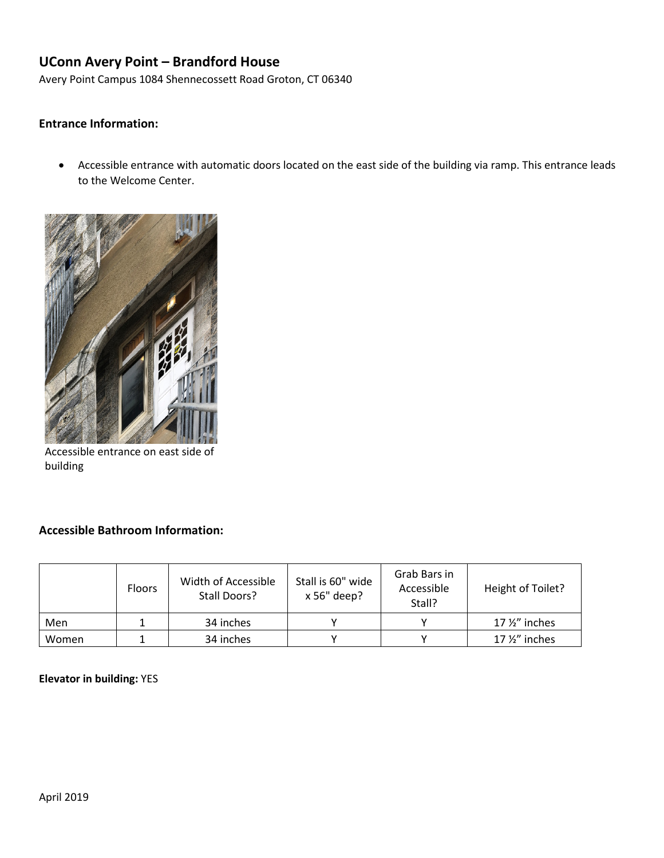# **UConn Avery Point – Brandford House**

Avery Point Campus 1084 Shennecossett Road Groton, CT 06340

#### **Entrance Information:**

• Accessible entrance with automatic doors located on the east side of the building via ramp. This entrance leads to the Welcome Center.

Accessible entrance on east side of building

#### **Accessible Bathroom Information:**

|       | <b>Floors</b> | Width of Accessible<br>Stall Doors? | Stall is 60" wide<br>x 56" deep? | Grab Bars in<br>Accessible<br>Stall? | Height of Toilet?       |
|-------|---------------|-------------------------------------|----------------------------------|--------------------------------------|-------------------------|
| Men   |               | 34 inches                           |                                  |                                      | 17 $\frac{1}{2}$ inches |
| Women |               | 34 inches                           |                                  |                                      | 17 1/2" inches          |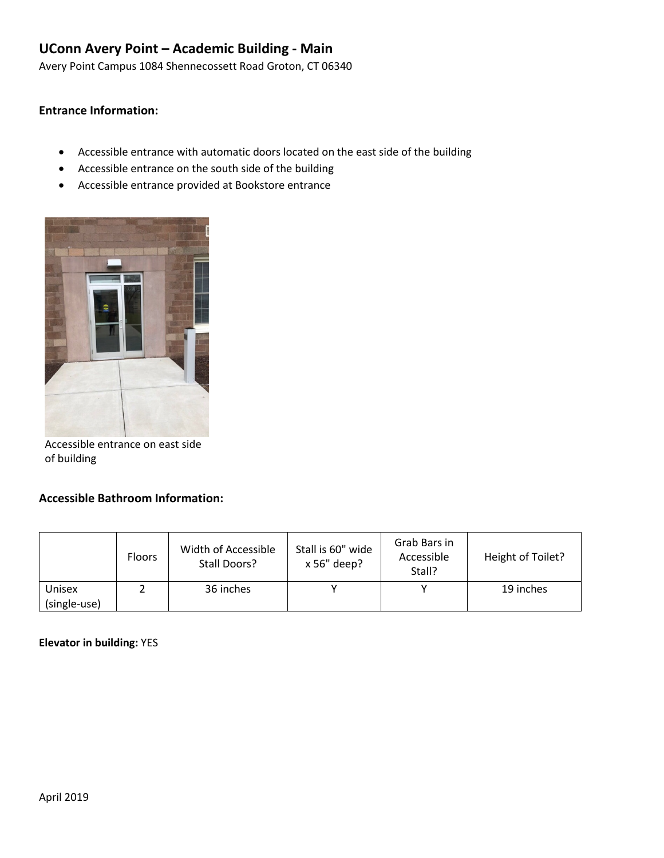# **UConn Avery Point – Academic Building - Main**

Avery Point Campus 1084 Shennecossett Road Groton, CT 06340

### **Entrance Information:**

- Accessible entrance with automatic doors located on the east side of the building
- Accessible entrance on the south side of the building
- Accessible entrance provided at Bookstore entrance



Accessible entrance on east side of building

#### **Accessible Bathroom Information:**

|                        | <b>Floors</b> | Width of Accessible<br>Stall Doors? | Stall is 60" wide<br>x 56" deep? | Grab Bars in<br>Accessible<br>Stall? | Height of Toilet? |
|------------------------|---------------|-------------------------------------|----------------------------------|--------------------------------------|-------------------|
| Unisex<br>(single-use) |               | 36 inches                           |                                  |                                      | 19 inches         |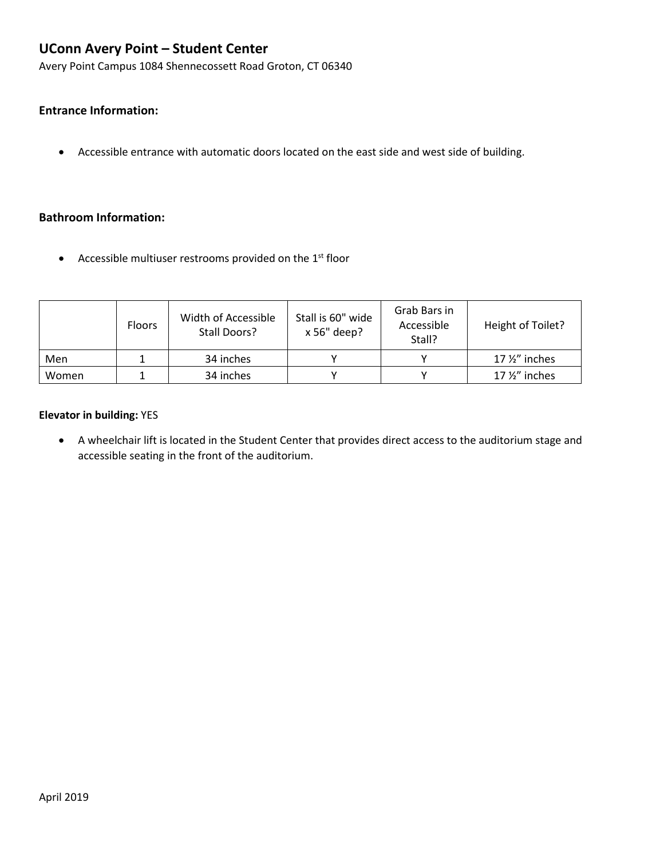# **UConn Avery Point – Student Center**

Avery Point Campus 1084 Shennecossett Road Groton, CT 06340

### **Entrance Information:**

• Accessible entrance with automatic doors located on the east side and west side of building.

### **Bathroom Information:**

• Accessible multiuser restrooms provided on the  $1<sup>st</sup>$  floor

|       | <b>Floors</b> | Width of Accessible<br>Stall Doors? | Stall is 60" wide<br>x 56" deep? | Grab Bars in<br>Accessible<br>Stall? | Height of Toilet?       |
|-------|---------------|-------------------------------------|----------------------------------|--------------------------------------|-------------------------|
| Men   |               | 34 inches                           |                                  |                                      | 17 $\frac{1}{2}$ inches |
| Women |               | 34 inches                           |                                  |                                      | 17 $\frac{1}{2}$ inches |

#### **Elevator in building:** YES

• A wheelchair lift is located in the Student Center that provides direct access to the auditorium stage and accessible seating in the front of the auditorium.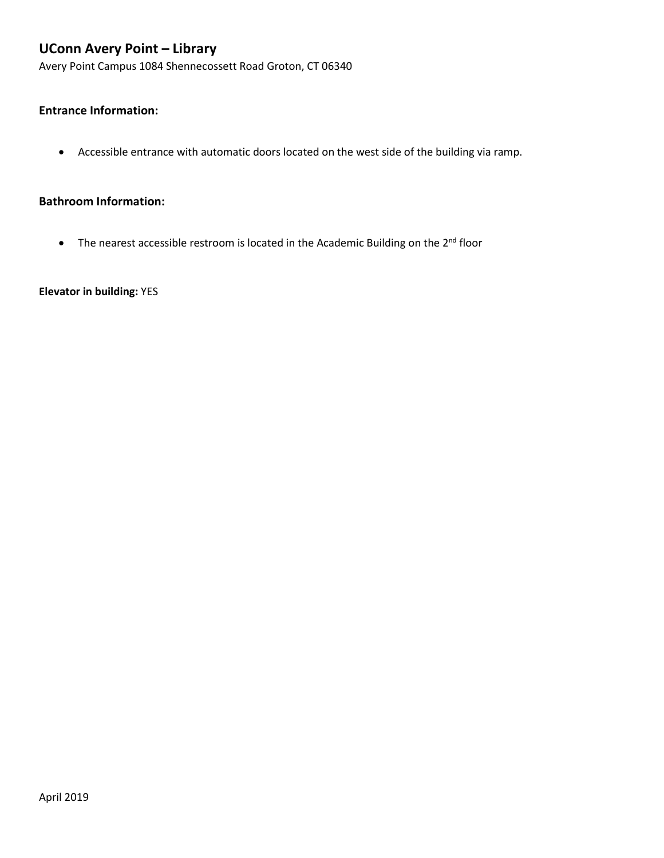# **UConn Avery Point – Library**

Avery Point Campus 1084 Shennecossett Road Groton, CT 06340

### **Entrance Information:**

• Accessible entrance with automatic doors located on the west side of the building via ramp.

#### **Bathroom Information:**

• The nearest accessible restroom is located in the Academic Building on the  $2^{nd}$  floor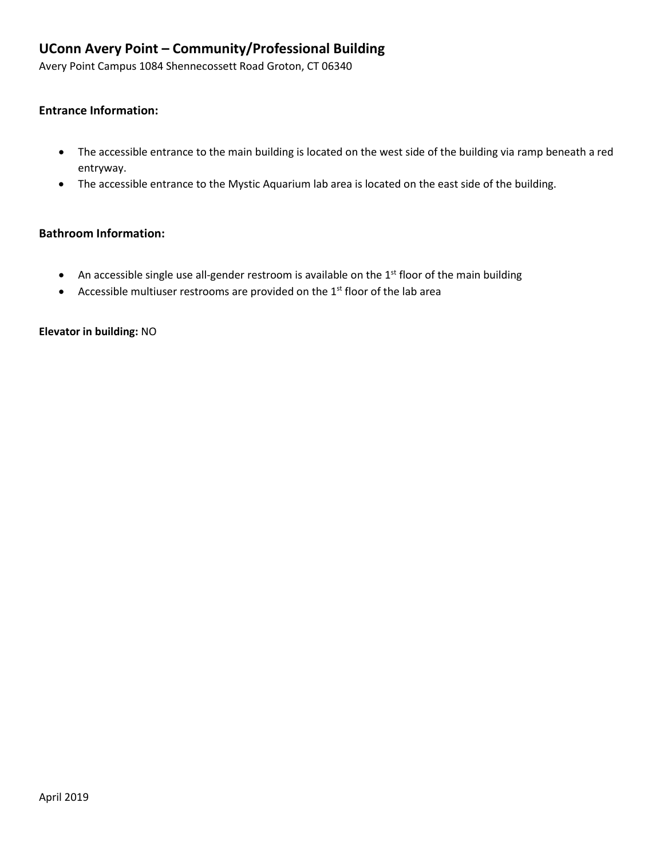# **UConn Avery Point – Community/Professional Building**

Avery Point Campus 1084 Shennecossett Road Groton, CT 06340

#### **Entrance Information:**

- The accessible entrance to the main building is located on the west side of the building via ramp beneath a red entryway.
- The accessible entrance to the Mystic Aquarium lab area is located on the east side of the building.

### **Bathroom Information:**

- An accessible single use all-gender restroom is available on the  $1<sup>st</sup>$  floor of the main building
- Accessible multiuser restrooms are provided on the  $1<sup>st</sup>$  floor of the lab area

**Elevator in building:** NO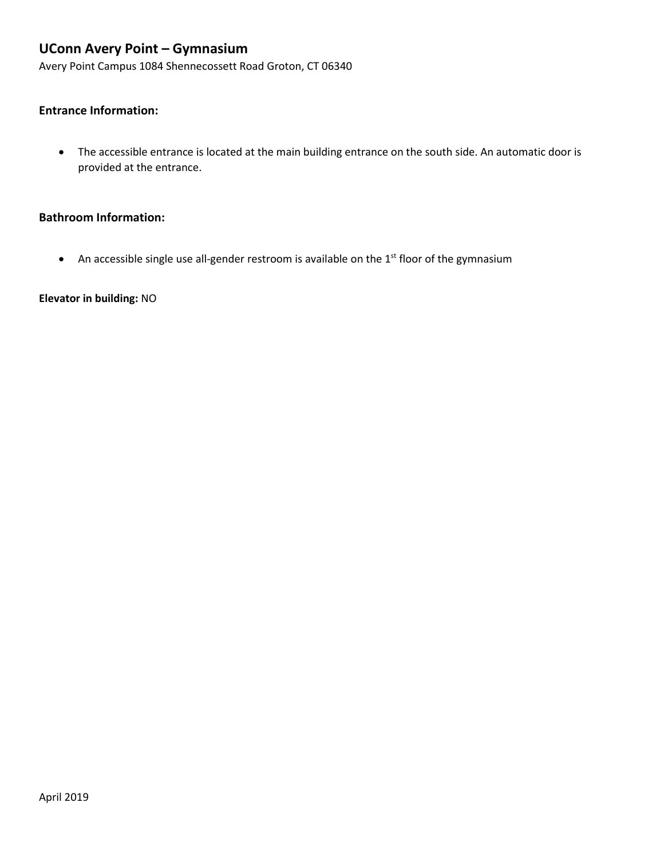# **UConn Avery Point – Gymnasium**

Avery Point Campus 1084 Shennecossett Road Groton, CT 06340

### **Entrance Information:**

• The accessible entrance is located at the main building entrance on the south side. An automatic door is provided at the entrance.

### **Bathroom Information:**

• An accessible single use all-gender restroom is available on the 1<sup>st</sup> floor of the gymnasium

**Elevator in building:** NO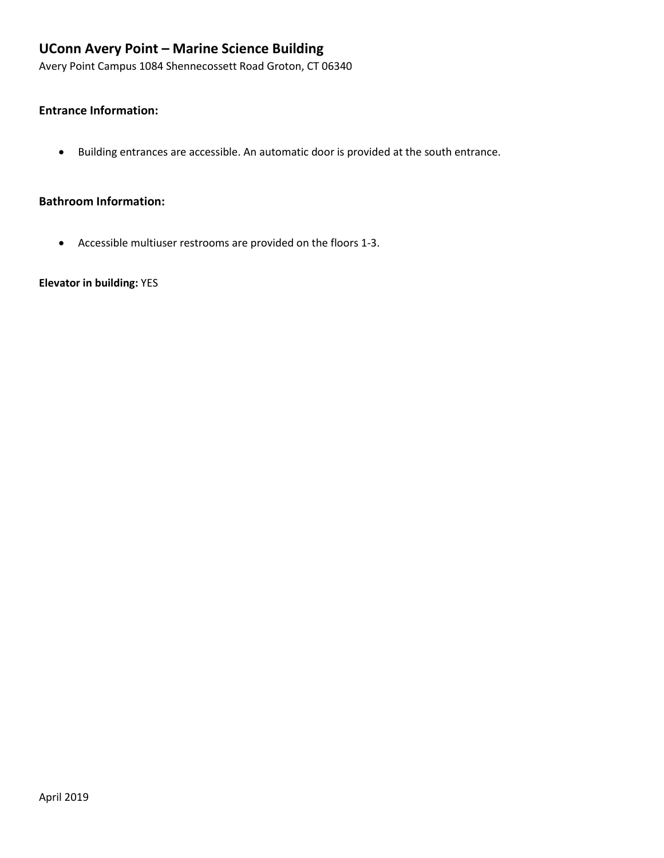# **UConn Avery Point – Marine Science Building**

Avery Point Campus 1084 Shennecossett Road Groton, CT 06340

### **Entrance Information:**

• Building entrances are accessible. An automatic door is provided at the south entrance.

#### **Bathroom Information:**

• Accessible multiuser restrooms are provided on the floors 1-3.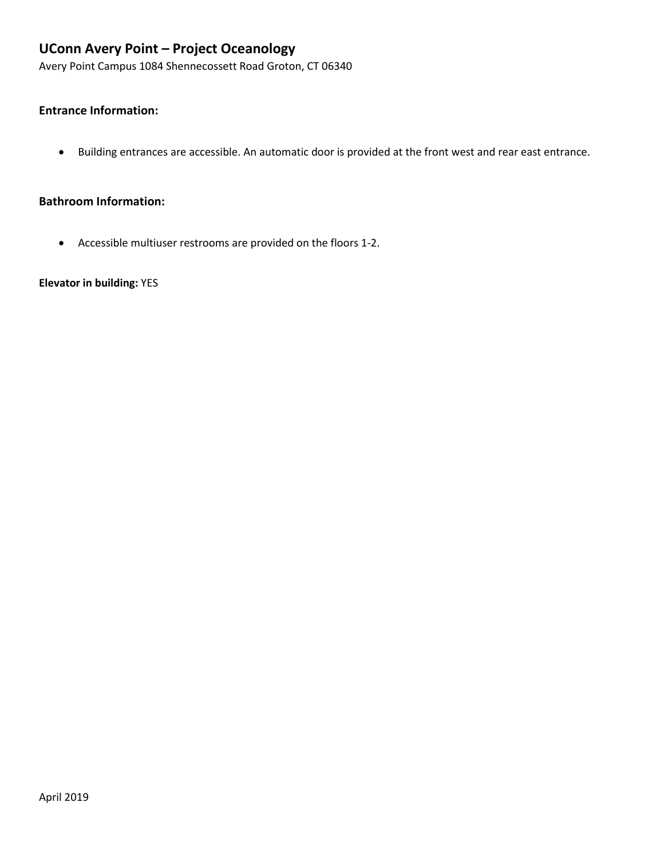# **UConn Avery Point – Project Oceanology**

Avery Point Campus 1084 Shennecossett Road Groton, CT 06340

### **Entrance Information:**

• Building entrances are accessible. An automatic door is provided at the front west and rear east entrance.

#### **Bathroom Information:**

• Accessible multiuser restrooms are provided on the floors 1-2.